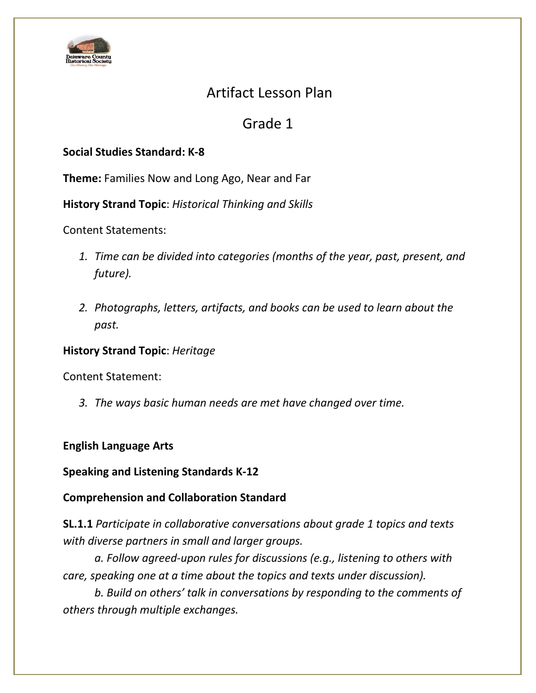

## Artifact Lesson Plan

## Grade 1

#### **Social Studies Standard: K-8**

**Theme:** Families Now and Long Ago, Near and Far

**History Strand Topic**: *Historical Thinking and Skills* 

Content Statements:

- *1. Time can be divided into categories (months of the year, past, present, and future).*
- *2. Photographs, letters, artifacts, and books can be used to learn about the past.*

#### **History Strand Topic**: *Heritage*

Content Statement:

*3. The ways basic human needs are met have changed over time.*

**English Language Arts**

**Speaking and Listening Standards K-12**

#### **Comprehension and Collaboration Standard**

**SL.1.1** *Participate in collaborative conversations about grade 1 topics and texts with diverse partners in small and larger groups.* 

*a. Follow agreed-upon rules for discussions (e.g., listening to others with care, speaking one at a time about the topics and texts under discussion).* 

*b. Build on others' talk in conversations by responding to the comments of others through multiple exchanges.*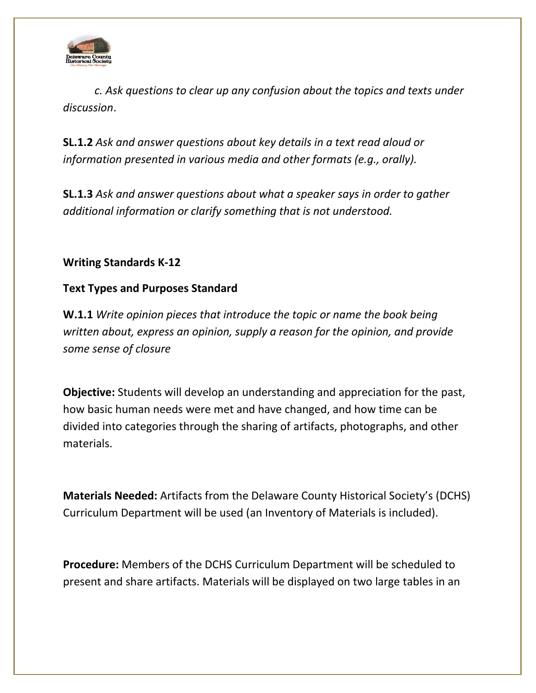

*c. Ask questions to clear up any confusion about the topics and texts under discussion*.

**SL.1.2** *Ask and answer questions about key details in a text read aloud or information presented in various media and other formats (e.g., orally).*

**SL.1.3** *Ask and answer questions about what a speaker says in order to gather additional information or clarify something that is not understood.*

#### **Writing Standards K-12**

#### **Text Types and Purposes Standard**

**W.1.1** *Write opinion pieces that introduce the topic or name the book being written about, express an opinion, supply a reason for the opinion, and provide some sense of closure*

**Objective:** Students will develop an understanding and appreciation for the past, how basic human needs were met and have changed, and how time can be divided into categories through the sharing of artifacts, photographs, and other materials.

**Materials Needed:** Artifacts from the Delaware County Historical Society's (DCHS) Curriculum Department will be used (an Inventory of Materials is included).

**Procedure:** Members of the DCHS Curriculum Department will be scheduled to present and share artifacts. Materials will be displayed on two large tables in an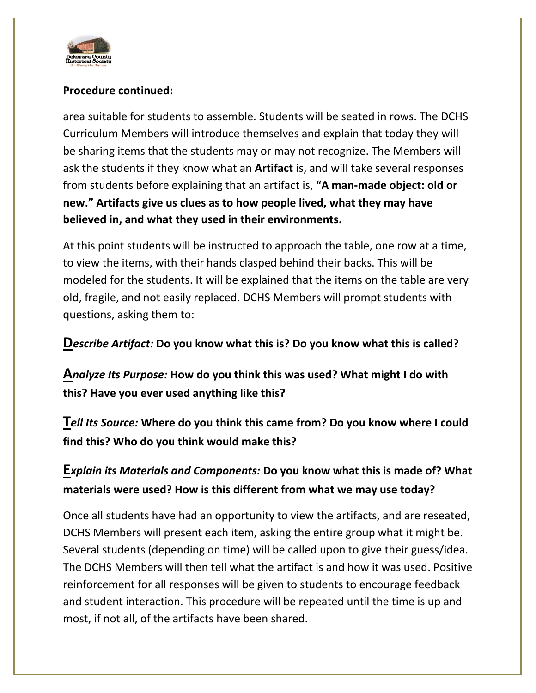

#### **Procedure continued:**

area suitable for students to assemble. Students will be seated in rows. The DCHS Curriculum Members will introduce themselves and explain that today they will be sharing items that the students may or may not recognize. The Members will ask the students if they know what an **Artifact** is, and will take several responses from students before explaining that an artifact is, **"A man-made object: old or new." Artifacts give us clues as to how people lived, what they may have believed in, and what they used in their environments.**

At this point students will be instructed to approach the table, one row at a time, to view the items, with their hands clasped behind their backs. This will be modeled for the students. It will be explained that the items on the table are very old, fragile, and not easily replaced. DCHS Members will prompt students with questions, asking them to:

**D***escribe Artifact:* **Do you know what this is? Do you know what this is called?**

**A***nalyze Its Purpose:* **How do you think this was used? What might I do with this? Have you ever used anything like this?** 

**T***ell Its Source:* **Where do you think this came from? Do you know where I could find this? Who do you think would make this?**

**E***xplain its Materials and Components:* **Do you know what this is made of? What materials were used? How is this different from what we may use today?**

Once all students have had an opportunity to view the artifacts, and are reseated, DCHS Members will present each item, asking the entire group what it might be. Several students (depending on time) will be called upon to give their guess/idea. The DCHS Members will then tell what the artifact is and how it was used. Positive reinforcement for all responses will be given to students to encourage feedback and student interaction. This procedure will be repeated until the time is up and most, if not all, of the artifacts have been shared.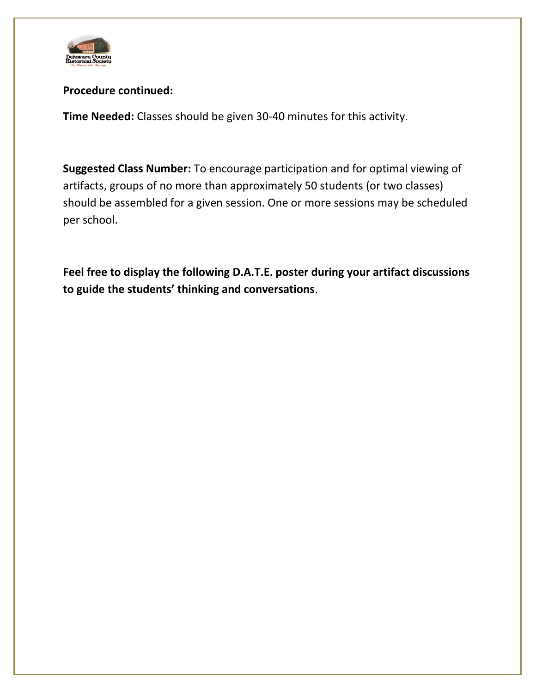

#### **Procedure continued:**

**Time Needed:** Classes should be given 30-40 minutes for this activity.

**Suggested Class Number:** To encourage participation and for optimal viewing of artifacts, groups of no more than approximately 50 students (or two classes) should be assembled for a given session. One or more sessions may be scheduled per school.

**Feel free to display the following D.A.T.E. poster during your artifact discussions to guide the students' thinking and conversations**.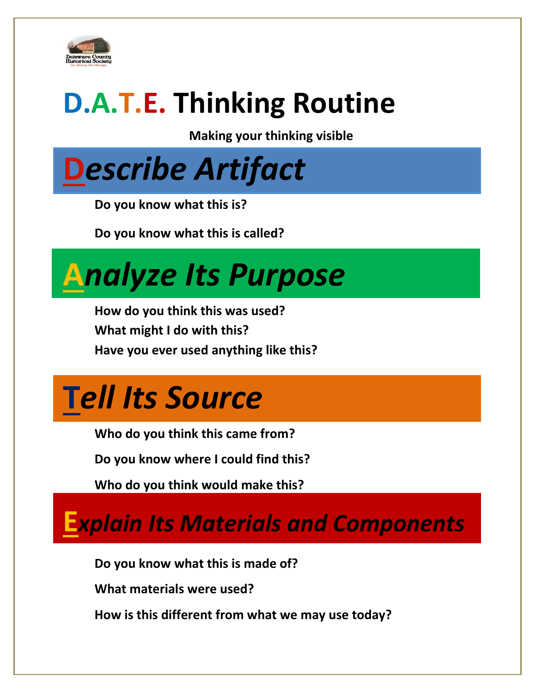

# **D.A.T.E. Thinking Routine**

**Making your thinking visible**



**Do you know what this is?** 

**Do you know what this is called?**



**How do you think this was used? What might I do with this? Have you ever used anything like this?**

# **T***ell Its Source*

**Who do you think this came from?** 

**Do you know where I could find this?** 

**Who do you think would make this?**

# **E***xplain Its Materials and Components*

**Do you know what this is made of?** 

**What materials were used?** 

**How is this different from what we may use today?**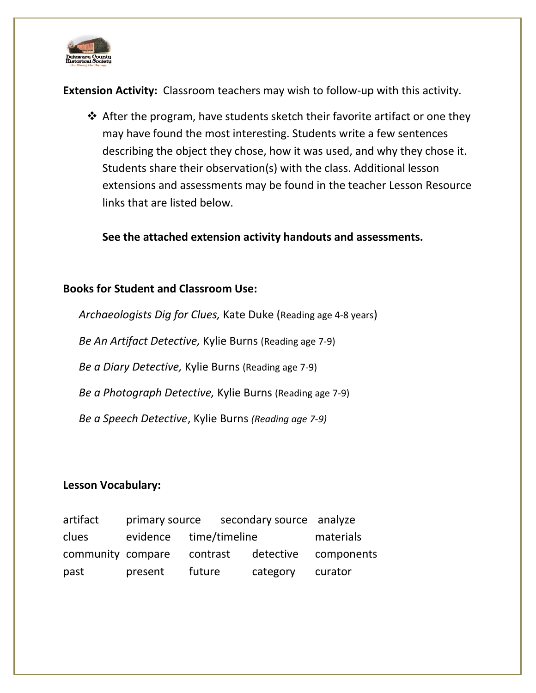

**Extension Activity:** Classroom teachers may wish to follow-up with this activity.

❖ After the program, have students sketch their favorite artifact or one they may have found the most interesting. Students write a few sentences describing the object they chose, how it was used, and why they chose it. Students share their observation(s) with the class. Additional lesson extensions and assessments may be found in the teacher Lesson Resource links that are listed below.

**See the attached extension activity handouts and assessments.** 

#### **Books for Student and Classroom Use:**

*Archaeologists Dig for Clues,* Kate Duke (Reading age 4-8 years) *Be An Artifact Detective,* Kylie Burns (Reading age 7-9) *Be a Diary Detective,* Kylie Burns (Reading age 7-9) *Be a Photograph Detective,* Kylie Burns (Reading age 7-9) *Be a Speech Detective*, Kylie Burns *(Reading age 7-9)*

#### **Lesson Vocabulary:**

| artifact          | primary source |                        | secondary source analyze |            |
|-------------------|----------------|------------------------|--------------------------|------------|
| clues             |                | evidence time/timeline |                          | materials  |
| community compare |                | contrast               | detective                | components |
| past              | present        | future                 | category                 | curator    |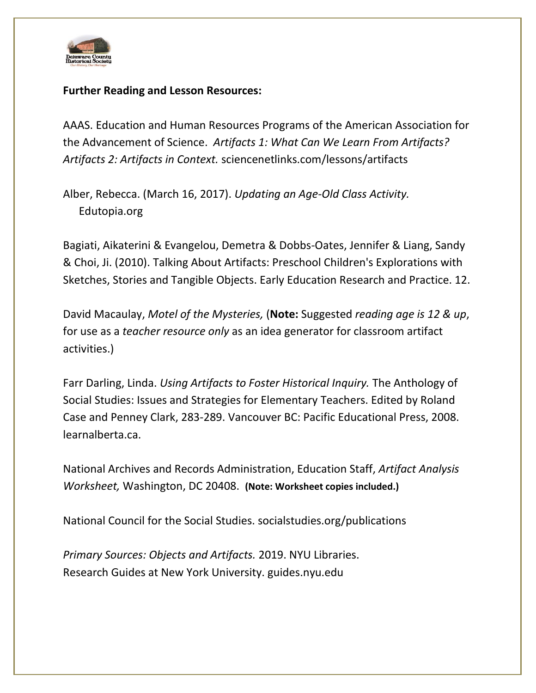

#### **Further Reading and Lesson Resources:**

AAAS. Education and Human Resources Programs of the American Association for the Advancement of Science. *Artifacts 1: What Can We Learn From Artifacts? Artifacts 2: Artifacts in Context.* sciencenetlinks.com/lessons/artifacts

Alber, Rebecca. (March 16, 2017). *Updating an Age-Old Class Activity.* Edutopia.org

Bagiati, Aikaterini & Evangelou, Demetra & Dobbs-Oates, Jennifer & Liang, Sandy & Choi, Ji. (2010). Talking About Artifacts: Preschool Children's Explorations with Sketches, Stories and Tangible Objects. Early Education Research and Practice. 12.

David Macaulay, *Motel of the Mysteries,* (**Note:** Suggested *reading age is 12 & up*, for use as a *teacher resource only* as an idea generator for classroom artifact activities.)

Farr Darling, Linda. *Using Artifacts to Foster Historical Inquiry.* The Anthology of Social Studies: Issues and Strategies for Elementary Teachers. Edited by Roland Case and Penney Clark, 283-289. Vancouver BC: Pacific Educational Press, 2008. learnalberta.ca.

National Archives and Records Administration, Education Staff, *Artifact Analysis Worksheet,* Washington, DC 20408. **(Note: Worksheet copies included.)**

National Council for the Social Studies. socialstudies.org/publications

*Primary Sources: Objects and Artifacts.* 2019. NYU Libraries. Research Guides at New York University. guides.nyu.edu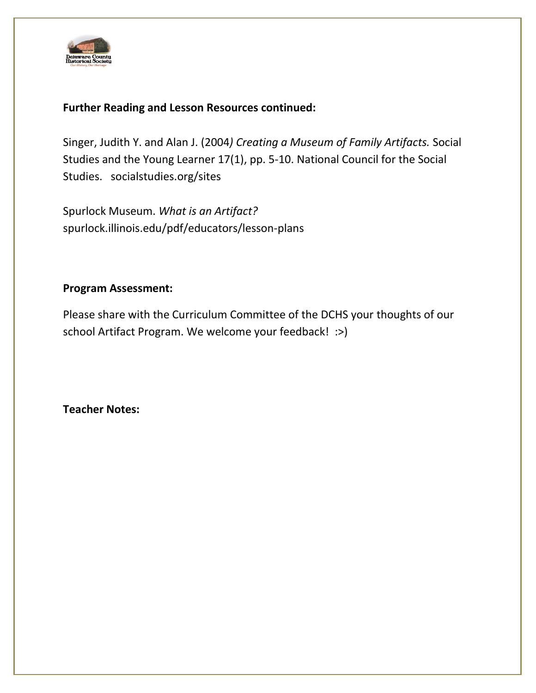

#### **Further Reading and Lesson Resources continued:**

Singer, Judith Y. and Alan J. (2004*) Creating a Museum of Family Artifacts.* Social Studies and the Young Learner 17(1), pp. 5-10. National Council for the Social Studies. socialstudies.org/sites

Spurlock Museum. *What is an Artifact?* spurlock.illinois.edu/pdf/educators/lesson-plans

#### **Program Assessment:**

Please share with the Curriculum Committee of the DCHS your thoughts of our school Artifact Program. We welcome your feedback! :>)

**Teacher Notes:**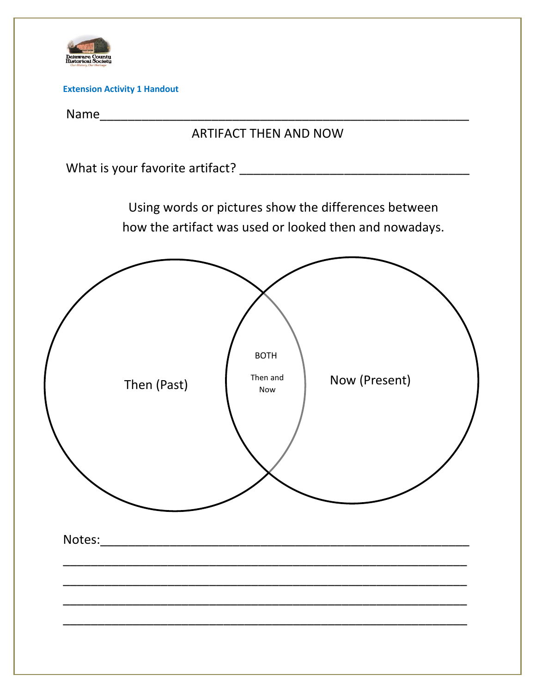

**Extension Activity 1 Handout**

Name\_\_\_\_\_\_\_\_\_\_\_\_\_\_\_\_\_\_\_\_\_\_\_\_\_\_\_\_\_\_\_\_\_\_\_\_\_\_\_\_\_\_\_\_\_\_\_\_\_\_\_\_\_

## ARTIFACT THEN AND NOW

What is your favorite artifact? \_\_\_\_\_\_\_\_\_\_\_\_\_\_\_\_\_\_\_\_\_\_\_\_\_\_\_\_\_\_\_\_\_

Using words or pictures show the differences between how the artifact was used or looked then and nowadays.

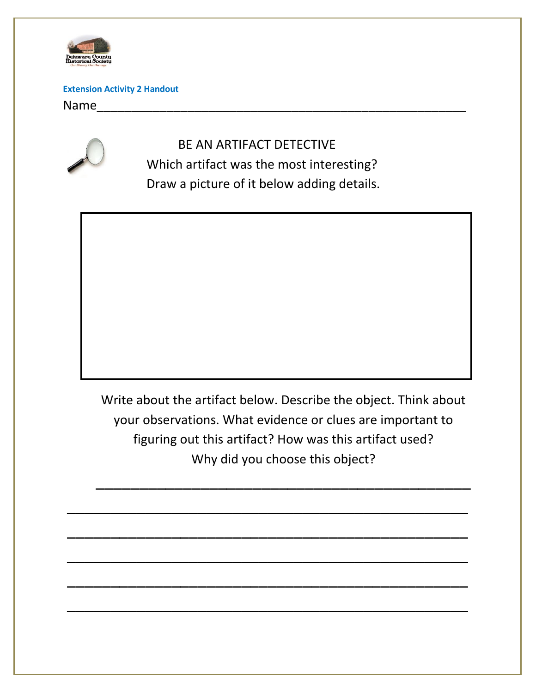

#### **Extension Activity 2 Handout**

#### Name



 BE AN ARTIFACT DETECTIVE Which artifact was the most interesting? Draw a picture of it below adding details.

Write about the artifact below. Describe the object. Think about your observations. What evidence or clues are important to figuring out this artifact? How was this artifact used? Why did you choose this object?

\_\_\_\_\_\_\_\_\_\_\_\_\_\_\_\_\_\_\_\_\_\_\_\_\_\_\_\_\_\_\_\_\_\_\_\_\_\_\_\_\_\_\_

[\\_](https://creativecommons.org/licenses/by-nc-nd/3.0/)\_\_\_\_\_\_\_\_\_\_\_\_\_\_\_\_\_\_\_\_\_\_\_\_\_\_\_\_\_\_\_\_\_\_\_\_\_\_\_\_\_\_\_\_\_

\_\_\_\_\_\_\_\_\_\_\_\_\_\_\_\_\_\_\_\_\_\_\_\_\_\_\_\_\_\_\_\_\_\_\_\_\_\_\_\_\_\_\_\_\_\_

\_\_\_\_\_\_\_\_\_\_\_\_\_\_\_\_\_\_\_\_\_\_\_\_\_\_\_\_\_\_\_\_\_\_\_\_\_\_\_\_\_\_\_\_\_\_

\_\_\_\_\_\_\_\_\_\_\_\_\_\_\_\_\_\_\_\_\_\_\_\_\_\_\_\_\_\_\_\_\_\_\_\_\_\_\_\_\_\_\_\_\_\_

\_\_\_\_\_\_\_\_\_\_\_\_\_\_\_\_\_\_\_\_\_\_\_\_\_\_\_\_\_\_\_\_\_\_\_\_\_\_\_\_\_\_\_\_\_\_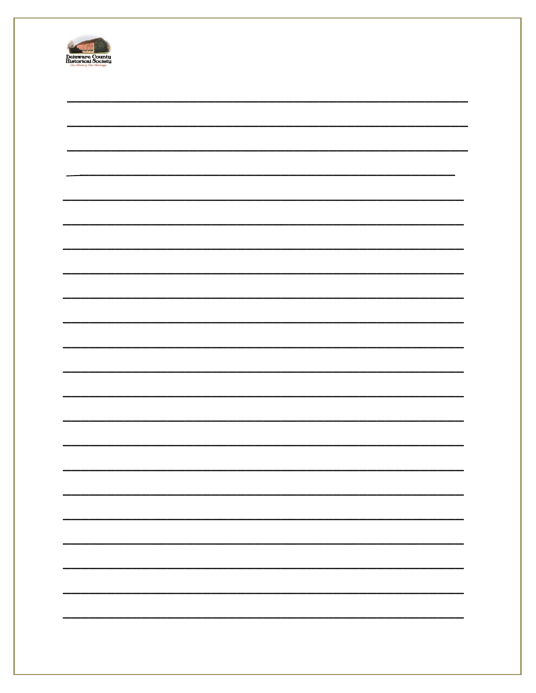| Delaware County<br>Historical Society |                           |  |  |
|---------------------------------------|---------------------------|--|--|
|                                       | Our History, Our Heritage |  |  |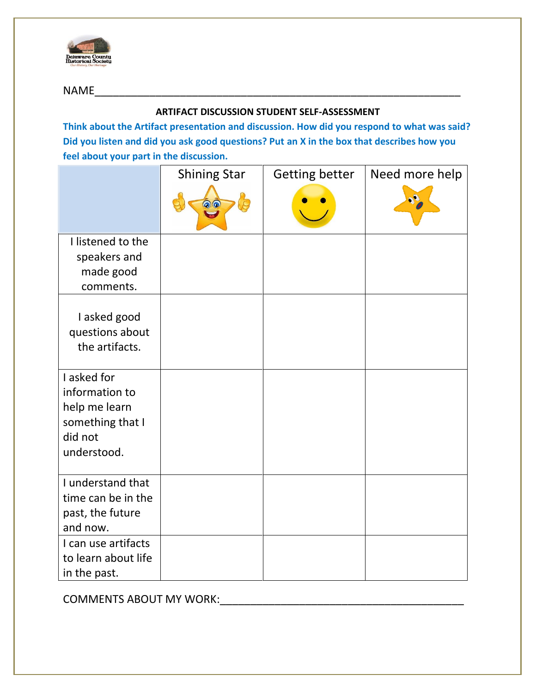

#### **ARTIFACT DISCUSSION STUDENT SELF-ASSESSMENT**

**Think about the Artifact presentation and discussion. How did you respond to what was said? Did you listen and did you ask good questions? Put an X in the box that describes how you feel about your part in the discussion.** 

|                                                                                              | <b>Shining Star</b> | <b>Getting better</b> | Need more help |
|----------------------------------------------------------------------------------------------|---------------------|-----------------------|----------------|
|                                                                                              |                     |                       |                |
| I listened to the<br>speakers and<br>made good<br>comments.                                  |                     |                       |                |
| I asked good<br>questions about<br>the artifacts.                                            |                     |                       |                |
| I asked for<br>information to<br>help me learn<br>something that I<br>did not<br>understood. |                     |                       |                |
| I understand that<br>time can be in the<br>past, the future<br>and now.                      |                     |                       |                |
| I can use artifacts<br>to learn about life<br>in the past.                                   |                     |                       |                |

COMMENTS ABOUT MY WORK:\_\_\_\_\_\_\_\_\_\_\_\_\_\_\_\_\_\_\_\_\_\_\_\_\_\_\_\_\_\_\_\_\_\_\_\_\_\_\_\_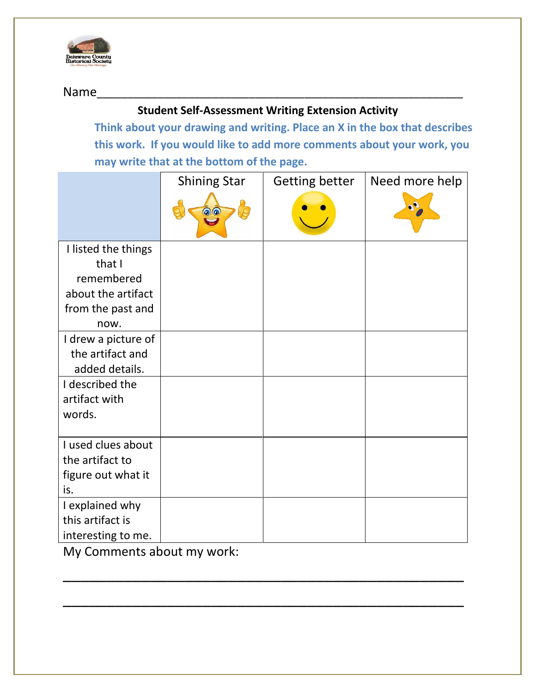

### Name\_\_\_\_\_\_\_\_\_\_\_\_\_\_\_\_\_\_\_\_\_\_\_\_\_\_\_\_\_\_\_\_\_\_\_\_\_\_\_\_\_\_\_\_\_\_\_\_\_\_\_\_\_\_\_\_\_\_\_\_

## **Student Self-Assessment Writing Extension Activity**

**Think about your drawing and writing. Place an X in the box that describes this work. If you would like to add more comments about your work, you may write that at the bottom of the page.** 

|                     | <b>Shining Star</b> | <b>Getting better</b> | Need more help |
|---------------------|---------------------|-----------------------|----------------|
|                     | $\circledcirc$      |                       |                |
| I listed the things |                     |                       |                |
| that I              |                     |                       |                |
| remembered          |                     |                       |                |
| about the artifact  |                     |                       |                |
| from the past and   |                     |                       |                |
| now.                |                     |                       |                |
| I drew a picture of |                     |                       |                |
| the artifact and    |                     |                       |                |
| added details.      |                     |                       |                |
| I described the     |                     |                       |                |
| artifact with       |                     |                       |                |
| words.              |                     |                       |                |
|                     |                     |                       |                |
| I used clues about  |                     |                       |                |
| the artifact to     |                     |                       |                |
| figure out what it  |                     |                       |                |
| is.                 |                     |                       |                |
| I explained why     |                     |                       |                |
| this artifact is    |                     |                       |                |
| interesting to me.  |                     |                       |                |

\_\_\_\_\_\_\_\_\_\_\_\_\_\_\_\_\_\_\_\_\_\_\_\_\_\_\_\_\_\_\_\_\_\_\_\_\_\_\_\_\_\_\_\_\_\_

\_\_\_\_\_\_\_\_\_\_\_\_\_\_\_\_\_\_\_\_\_\_\_\_\_\_\_\_\_\_\_\_\_\_\_\_\_\_\_\_\_\_\_\_\_\_

My Comments about my work: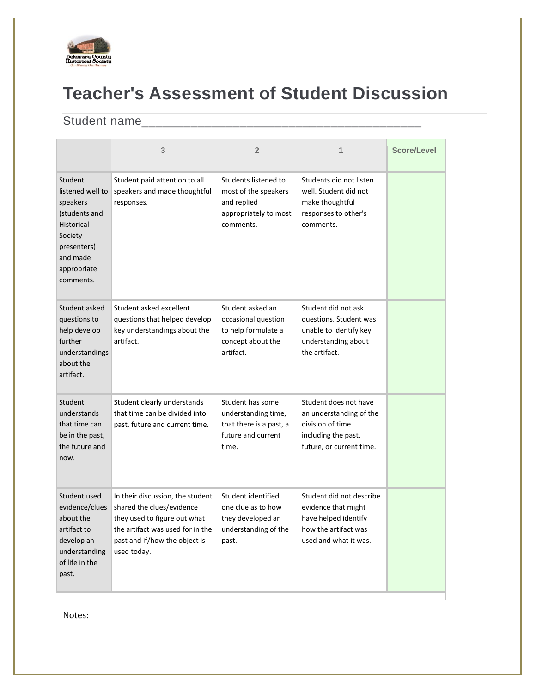

# **Teacher's Assessment of Student Discussion**

Student name\_\_\_\_\_\_\_\_\_\_\_\_\_\_\_\_\_\_\_\_\_\_\_\_\_\_\_\_\_\_\_\_\_\_\_\_\_\_\_\_

|                                                                                                                                          | 3                                                                                                                                                                                 | $\overline{2}$                                                                                    | 1                                                                                                                        | <b>Score/Level</b> |
|------------------------------------------------------------------------------------------------------------------------------------------|-----------------------------------------------------------------------------------------------------------------------------------------------------------------------------------|---------------------------------------------------------------------------------------------------|--------------------------------------------------------------------------------------------------------------------------|--------------------|
| Student<br>listened well to<br>speakers<br>(students and<br>Historical<br>Society<br>presenters)<br>and made<br>appropriate<br>comments. | Student paid attention to all<br>speakers and made thoughtful<br>responses.                                                                                                       | Students listened to<br>most of the speakers<br>and replied<br>appropriately to most<br>comments. | Students did not listen<br>well. Student did not<br>make thoughtful<br>responses to other's<br>comments.                 |                    |
| Student asked<br>questions to<br>help develop<br>further<br>understandings<br>about the<br>artifact.                                     | Student asked excellent<br>questions that helped develop<br>key understandings about the<br>artifact.                                                                             | Student asked an<br>occasional question<br>to help formulate a<br>concept about the<br>artifact.  | Student did not ask<br>questions. Student was<br>unable to identify key<br>understanding about<br>the artifact.          |                    |
| Student<br>understands<br>that time can<br>be in the past,<br>the future and<br>now.                                                     | Student clearly understands<br>that time can be divided into<br>past, future and current time.                                                                                    | Student has some<br>understanding time,<br>that there is a past, a<br>future and current<br>time. | Student does not have<br>an understanding of the<br>division of time<br>including the past,<br>future, or current time.  |                    |
| Student used<br>evidence/clues<br>about the<br>artifact to<br>develop an<br>understanding<br>of life in the<br>past.                     | In their discussion, the student<br>shared the clues/evidence<br>they used to figure out what<br>the artifact was used for in the<br>past and if/how the object is<br>used today. | Student identified<br>one clue as to how<br>they developed an<br>understanding of the<br>past.    | Student did not describe<br>evidence that might<br>have helped identify<br>how the artifact was<br>used and what it was. |                    |

Notes: